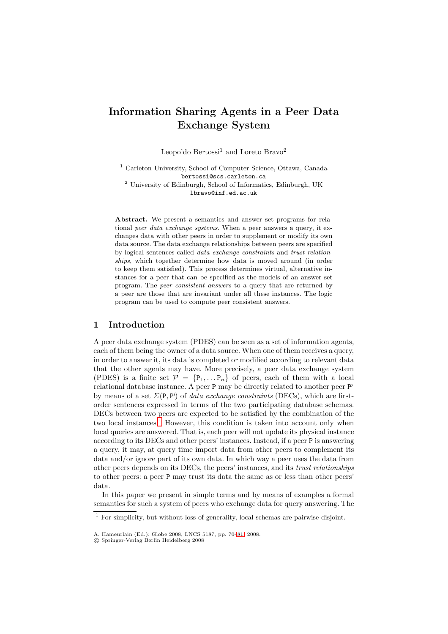# **Information Sharing Agents in a Peer Data Exchange System**

Leopoldo Bertossi<sup>1</sup> and Loreto Bravo<sup>2</sup>

<sup>1</sup> Carleton University, School of Computer Science, Ottawa, Canada bertossi@scs.carleton.ca <sup>2</sup> University of Edinburgh, School of Informatics, Edinburgh, UK lbravo@inf.ed.ac.uk

**Abstract.** We present a semantics and answer set programs for relational *peer data exchange systems*. When a peer answers a query, it exchanges data with other peers in order to supplement or modify its own data source. The data exchange relationships between peers are specified by logical sentences called data exchange constraints and trust relationships, which together determine how data is moved around (in order to keep them satisfied). This process determines virtual, alternative instances for a peer that can be specified as the models of an answer set program. The peer consistent answers to a query that are returned by a peer are those that are invariant under all these instances. The logic program can be used to compute peer consistent answers.

# **1 Introduction**

A peer data exchange system (PDES) can be seen as a set of information agents, each of them being the owner of a data source. When one of them receives a query, in order to answer it, its data is completed or modified according to relevant data that the other agents may have. More precisely, a peer data exchange system (PDES) is a finite set  $\mathcal{P} = \{P_1, \ldots, P_n\}$  of peers, each of them with a local relational database instance. A peer P may be directly related to another peer P' by means of a set  $\Sigma(P, P')$  of *data exchange constraints* (DECs), which are firstorder sentences expressed in terms of the two participating database schemas. DECs between two peers are expected to be satisfied by the combination of the two local instances.<sup>[1](#page-0-0)</sup> However, this condition is taken into account only when local queries are answered. That is, each peer will not update its physical instance according to its DECs and other peers' instances. Instead, if a peer P is answering a query, it may, at query time import data from other peers to complement its data and/or ignore part of its own data. In which way a peer uses the data from other peers depends on its DECs, the peers' instances, and its trust relationships to other peers: a peer P may trust its data the same as or less than other peers' data.

In this paper we present in simple terms and by means of examples a formal semantics for such a system of peers who exchange data for query answering. The

 $1$  For simplicity, but without loss of generality, local schemas are pairwise disjoint.

<span id="page-0-0"></span>A. Hameurlain (Ed.): Globe 2008, LNCS 5187, pp. 70[–81,](#page-10-0) 2008.

<sup>-</sup>c Springer-Verlag Berlin Heidelberg 2008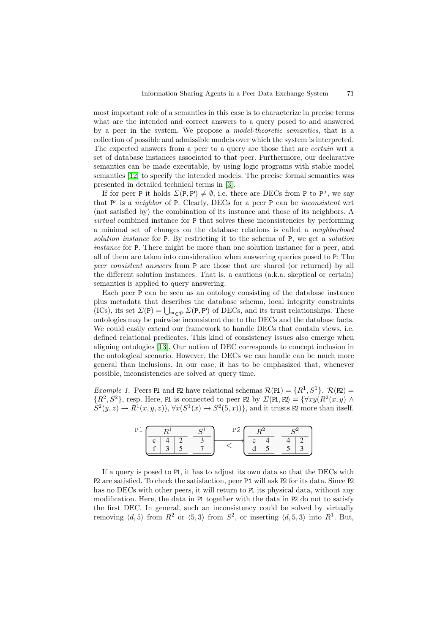most important role of a semantics in this case is to characterize in precise terms what are the intended and correct answers to a query posed to and answered by a peer in the system. We propose a model-theoretic semantics, that is a collection of possible and admissible models over which the system is interpreted. The expected answers from a peer to a query are those that are certain wrt a set of database instances associated to that peer. Furthermore, our declarative semantics can be made executable, by using logic programs with stable model semantics [\[12\]](#page-11-0) to specify the intended models. The precise formal semantics was presented in detailed technical terms in [\[3\]](#page-10-1).

If for peer P it holds  $\Sigma(P, P') \neq \emptyset$ , i.e. there are DECs from P to P', we say that  $P'$  is a neighbor of P. Clearly, DECs for a peer P can be inconsistent wrt (not satisfied by) the combination of its instance and those of its neighbors. A virtual combined instance for P that solves these inconsistencies by performing a minimal set of changes on the database relations is called a neighborhood solution instance for P. By restricting it to the schema of P, we get a *solution* instance for P. There might be more than one solution instance for a peer, and all of them are taken into consideration when answering queries posed to P: The peer consistent answers from P are those that are shared (or returned) by all the different solution instances. That is, a cautions (a.k.a. skeptical or certain) semantics is applied to query answering.

Each peer P can be seen as an ontology consisting of the database instance plus metadata that describes the database schema, local integrity constraints (ICs), its set  $\Sigma(P) = \bigcup_{P' \in \mathcal{P}} \Sigma(P, P')$  of DECs, and its trust relationships. These ontologies may be pairwise inconsistent due to the DECs and the database facts. We could easily extend our framework to handle DECs that contain views, i.e. defined relational predicates. This kind of consistency issues also emerge when aligning ontologies [\[13\]](#page-11-1). Our notion of DEC corresponds to concept inclusion in the ontological scenario. However, the DECs we can handle can be much more general than inclusions. In our case, it has to be emphasized that, whenever possible, inconsistencies are solved at query time.

<span id="page-1-0"></span>*Example 1.* Peers P1 and P2 have relational schemas  $\mathcal{R}(\mathbb{P}) = \{R^1, S^1\}, \mathcal{R}(\mathbb{P}) =$  ${R^2, S^2}$ , resp. Here, P1 is connected to peer P2 by  $\Sigma(\mathbf{P1}, \mathbf{P2}) = {\forall xy (R^2(x, y) \land R^2)}$  $S^2(y, z) \to R^1(x, y, z)$ ,  $\forall x (S^1(x) \to S^2(5, x))$ , and it trusts P2 more than itself.

If a query is posed to P1, it has to adjust its own data so that the DECs with P2 are satisfied. To check the satisfaction, peer P1 will ask P2 for its data. Since P2 has no DECs with other peers, it will return to  $\mathbb M$  its physical data, without any modification. Here, the data in P1 together with the data in P2 do not to satisfy the first DEC. In general, such an inconsistency could be solved by virtually removing  $\langle d, 5 \rangle$  from  $R^2$  or  $\langle 5, 3 \rangle$  from  $S^2$ , or inserting  $\langle d, 5, 3 \rangle$  into  $R^1$ . But,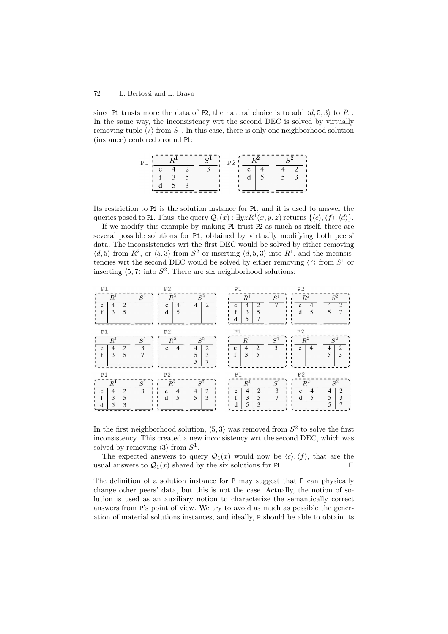since P1 trusts more the data of P2, the natural choice is to add  $\langle d, 5, 3 \rangle$  to  $R^1$ . In the same way, the inconsistency wrt the second DEC is solved by virtually removing tuple  $\langle 7 \rangle$  from  $S^1$ . In this case, there is only one neighborhood solution (instance) centered around P1:

Its restriction to P1 is the solution instance for P1, and it is used to answer the queries posed to P1. Thus, the query  $\mathcal{Q}_1(x)$ :  $\exists y z R^1(x, y, z)$  returns  $\{\langle c \rangle, \langle f \rangle, \langle d \rangle\}.$ 

If we modify this example by making P1 trust P2 as much as itself, there are several possible solutions for P1, obtained by virtually modifying both peers' data. The inconsistencies wrt the first DEC would be solved by either removing  $\langle d, 5 \rangle$  from  $R^2$ , or  $\langle 5, 3 \rangle$  from  $S^2$  or inserting  $\langle d, 5, 3 \rangle$  into  $R^1$ , and the inconsistencies wrt the second DEC would be solved by either removing  $\langle 7 \rangle$  from  $S^1$  or inserting  $\langle 5, 7 \rangle$  into  $S^2$ . There are six neighborhood solutions:

| P1                                                  | P <sub>2</sub>                                            | P1                                                                                       | P <sub>2</sub>                                                            |                 |
|-----------------------------------------------------|-----------------------------------------------------------|------------------------------------------------------------------------------------------|---------------------------------------------------------------------------|-----------------|
| $R^1$<br>2<br>$\mathbf{c}$<br>f<br>3                | $S^1$ $R^2$<br>$\mathbf{c}$<br>$\mathbf d$<br>5           | $S^2$<br>$R^1$<br>2<br>$\mathbf{c}$<br>f<br>3<br>$\overline{\phantom{0}}$<br>$\mathbf d$ | $S^1$ $R^2$<br>$\mathbf{c}$<br>d<br>5                                     | $S^2$<br>4<br>5 |
| P1<br>$S^1$<br>$R^1$<br>3<br>$\mathbf{c}$<br>3<br>5 | P <sub>2</sub><br>$\sqrt{R^2}$<br>$\mathbf{c}$<br>4       | P <sub>1</sub><br>$S^2$<br>$R^1$<br>4<br>$\mathbf{C}$<br>3<br>3                          | P <sub>2</sub><br>$R^2$<br>$S^1$<br>3<br>$\overline{c}$<br>$\overline{4}$ | $S^2$<br>5      |
| P1<br>$S^1$<br>$R^1$<br>2<br>3<br>$\mathbf{c}$      | P <sub>2</sub><br>$R^2$<br>$\overline{4}$<br>$\mathbf{c}$ | P1<br>$S^2$<br>$R^1$<br>2<br>c                                                           | P <sub>2</sub><br>$R^2$<br>$S^1$<br>$\mathbf{c}$                          | $S^2$           |
| d                                                   | $\mathbf d$<br>5<br>5                                     | 3<br>3<br>5                                                                              | d<br>5                                                                    | 5<br>∍          |

In the first neighborhood solution,  $\langle 5, 3 \rangle$  was removed from  $S^2$  to solve the first inconsistency. This created a new inconsistency wrt the second DEC, which was solved by removing  $\langle 3 \rangle$  from  $S^1$ .

The expected answers to query  $\mathcal{Q}_1(x)$  would now be  $\langle c \rangle$ ,  $\langle f \rangle$ , that are the usual answers to  $\mathcal{Q}_1(x)$  shared by the six solutions for P1.

The definition of a solution instance for P may suggest that P can physically change other peers' data, but this is not the case. Actually, the notion of solution is used as an auxiliary notion to characterize the semantically correct answers from P's point of view. We try to avoid as much as possible the generation of material solutions instances, and ideally, P should be able to obtain its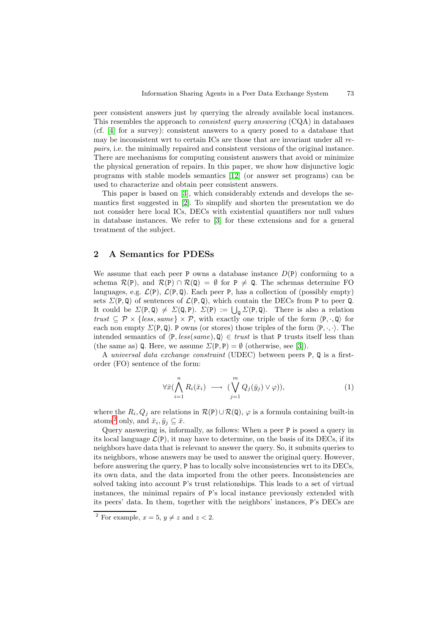peer consistent answers just by querying the already available local instances. This resembles the approach to *consistent query answering*  $(CQA)$  in databases (cf. [\[4\]](#page-10-2) for a survey): consistent answers to a query posed to a database that may be inconsistent wrt to certain ICs are those that are invariant under all repairs, i.e. the minimally repaired and consistent versions of the original instance. There are mechanisms for computing consistent answers that avoid or minimize the physical generation of repairs. In this paper, we show how disjunctive logic programs with stable models semantics [\[12\]](#page-11-0) (or answer set programs) can be used to characterize and obtain peer consistent answers.

This paper is based on [\[3\]](#page-10-1), which considerably extends and develops the semantics first suggested in [\[2\]](#page-10-3). To simplify and shorten the presentation we do not consider here local ICs, DECs with existential quantifiers nor null values in database instances. We refer to [\[3\]](#page-10-1) for these extensions and for a general treatment of the subject.

### **2 A Semantics for PDESs**

We assume that each peer P owns a database instance  $D(P)$  conforming to a schema  $\mathcal{R}(P)$ , and  $\mathcal{R}(P) \cap \mathcal{R}(Q) = \emptyset$  for  $P \neq Q$ . The schemas determine FO languages, e.g.  $\mathcal{L}(P)$ ,  $\mathcal{L}(P, Q)$ . Each peer P, has a collection of (possibly empty) sets  $\Sigma(P, Q)$  of sentences of  $\mathcal{L}(P, Q)$ , which contain the DECs from P to peer Q. It could be  $\Sigma(P,Q) \neq \Sigma(Q,P)$ .  $\Sigma(P) := \bigcup_{Q} \Sigma(P,Q)$ . There is also a relation trust  $\subseteq \mathcal{P} \times \{ \text{less}, \text{same} \} \times \mathcal{P}$ , with exactly one triple of the form  $\langle P, \cdot, Q \rangle$  for each non empty  $\Sigma(P,Q)$ . P owns (or stores) those triples of the form  $\langle P, \cdot, \cdot \rangle$ . The intended semantics of  $\langle P, less(same), Q \rangle \in trust$  is that P trusts itself less than (the same as) Q. Here, we assume  $\Sigma(P, P) = \emptyset$  (otherwise, see [\[3\]](#page-10-1)).

A universal data exchange constraint (UDEC) between peers P, Q is a firstorder (FO) sentence of the form:

$$
\forall \bar{x} (\bigwedge_{i=1}^{n} R_i(\bar{x}_i) \longrightarrow (\bigvee_{j=1}^{m} Q_j(\bar{y}_j) \vee \varphi)), \qquad (1)
$$

where the  $R_i, Q_j$  are relations in  $\mathcal{R}(\mathsf{P}) \cup \mathcal{R}(\mathsf{Q}), \varphi$  is a formula containing built-in atoms<sup>[2](#page-3-0)</sup> only, and  $\bar{x}_i, \bar{y}_j \subseteq \bar{x}$ .

Query answering is, informally, as follows: When a peer P is posed a query in its local language  $\mathcal{L}(P)$ , it may have to determine, on the basis of its DECs, if its neighbors have data that is relevant to answer the query. So, it submits queries to its neighbors, whose answers may be used to answer the original query. However, before answering the query, P has to locally solve inconsistencies wrt to its DECs, its own data, and the data imported from the other peers. Inconsistencies are solved taking into account P's trust relationships. This leads to a set of virtual instances, the minimal repairs of P's local instance previously extended with its peers' data. In them, together with the neighbors' instances, P's DECs are

<span id="page-3-0"></span><sup>&</sup>lt;sup>2</sup> For example,  $x = 5$ ,  $y \neq z$  and  $z < 2$ .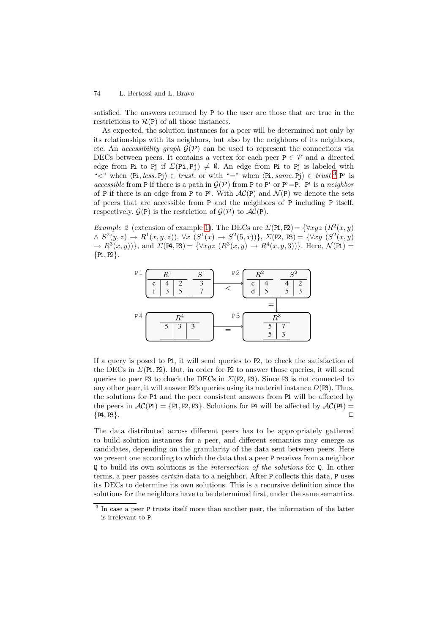satisfied. The answers returned by P to the user are those that are true in the restrictions to  $\mathcal{R}(P)$  of all those instances.

As expected, the solution instances for a peer will be determined not only by its relationships with its neighbors, but also by the neighbors of its neighbors, etc. An *accessibility graph*  $\mathcal{G}(\mathcal{P})$  can be used to represent the connections via DECs between peers. It contains a vertex for each peer  $P \in \mathcal{P}$  and a directed edge from Pi to Pj if  $\Sigma(\text{Pi},\text{Pj}) \neq \emptyset$ . An edge from Pi to Pj is labeled with "<" when  $\langle P_i, less, P_j \rangle \in trust$ , or with "=" when  $\langle P_i, same, P_j \rangle \in trust.^3$  $\langle P_i, same, P_j \rangle \in trust.^3$  P' is accessible from P if there is a path in  $\mathcal{G}(\mathcal{P})$  from P to P' or P'=P. P' is a neighbor of P if there is an edge from P to P'. With  $AC(P)$  and  $N(P)$  we denote the sets of peers that are accessible from P and the neighbors of P including P itself, respectively.  $G(P)$  is the restriction of  $G(P)$  to  $AC(P)$ .

<span id="page-4-1"></span>Example 2 (extension of example [1\)](#page-1-0). The DECs are  $\Sigma(\mathbf{P1}, \mathbf{P2}) = \{ \forall xyz \ (R^2(x, y))\}$  $\wedge S^2(y,z) \to R^1(x,y,z)$ ,  $\forall x \ (S^1(x) \to S^2(5,x))$ ,  $\Sigma(\mathcal{P}Z, \mathcal{P}Z) = {\forall xy \ (S^2(x,y) \to S^2(5,x))}$  $\rightarrow R^{3}(x, y)$ }, and  $\Sigma(\mathbb{M}, \mathbb{B}) = \{ \forall xyz \ (R^{3}(x, y) \rightarrow R^{4}(x, y, 3)) \}$ . Here,  $\mathcal{N}(\mathbb{M}) =$  ${P1, P2}.$ 



If a query is posed to P1, it will send queries to P2, to check the satisfaction of the DECs in  $\Sigma(\mathfrak{p}_1, \mathfrak{p}_2)$ . But, in order for  $\mathfrak{p}_2$  to answer those queries, it will send queries to peer P3 to check the DECs in  $\Sigma$ (P2, P3). Since P3 is not connected to any other peer, it will answer  $\mathbb{P}^2$ 's queries using its material instance  $D(\mathbb{B})$ . Thus, the solutions for P1 and the peer consistent answers from P1 will be affected by the peers in  $AC(\mathbb{M}) = \{P1, P2, P3\}$ . Solutions for P4 will be affected by  $AC(\mathbb{M}) =$  $\{P4, P3\}.$ 

The data distributed across different peers has to be appropriately gathered to build solution instances for a peer, and different semantics may emerge as candidates, depending on the granularity of the data sent between peers. Here we present one according to which the data that a peer P receives from a neighbor Q to build its own solutions is the intersection of the solutions for Q. In other terms, a peer passes certain data to a neighbor. After P collects this data, P uses its DECs to determine its own solutions. This is a recursive definition since the solutions for the neighbors have to be determined first, under the same semantics.

<span id="page-4-0"></span>In case a peer P trusts itself more than another peer, the information of the latter is irrelevant to P.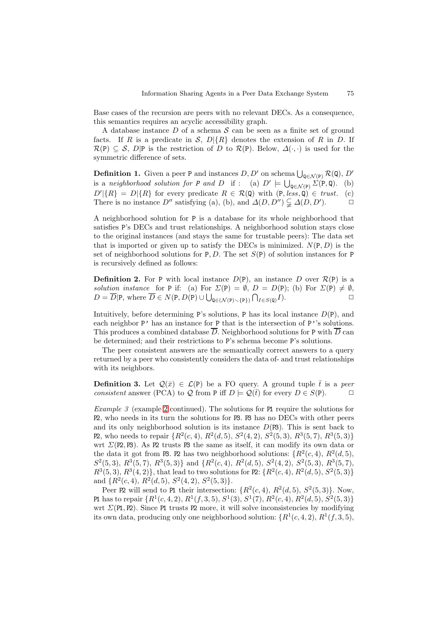Base cases of the recursion are peers with no relevant DECs. As a consequence, this semantics requires an acyclic accessibility graph.

A database instance  $D$  of a schema  $S$  can be seen as a finite set of ground facts. If R is a predicate in S,  $D|\{R\}$  denotes the extension of R in D. If  $\mathcal{R}(\mathsf{P}) \subseteq \mathcal{S}, D|\mathsf{P}$  is the restriction of D to  $\mathcal{R}(\mathsf{P})$ . Below,  $\Delta(\cdot, \cdot)$  is used for the symmetric difference of sets.

**Definition 1.** Given a peer P and instances  $D, D'$  on schema  $\bigcup_{\mathbf{Q} \in \mathcal{N}(\mathbf{P})} \mathcal{R}(\mathbf{Q}), D'$ is a neighborhood solution for P and D if : (a)  $D' \models \bigcup_{\mathbf{Q} \in \mathcal{N}(\mathbf{P})} \Sigma(\mathbf{P}, \mathbf{Q})$ . (b)  $D'|\{R\} = D|\{R\}$  for every predicate  $R \in \mathcal{R}(\mathbf{Q})$  with  $(P, less, Q) \in trust.$  (c) There is no instance  $D''$  satisfying (a), (b), and  $\Delta(D, D'') \subsetneq \Delta(D, D')$ .  $\Box$ 

A neighborhood solution for P is a database for its whole neighborhood that satisfies P's DECs and trust relationships. A neighborhood solution stays close to the original instances (and stays the same for trustable peers): The data set that is imported or given up to satisfy the DECs is minimized.  $N(P, D)$  is the set of neighborhood solutions for  $P, D$ . The set  $S(P)$  of solution instances for P is recursively defined as follows:

**Definition 2.** For P with local instance  $D(P)$ , an instance D over  $\mathcal{R}(P)$  is a solution instance for P if: (a) For  $\Sigma(P) = \emptyset$ ,  $D = D(P)$ ; (b) For  $\Sigma(P) \neq \emptyset$ ,  $D = D | P$ , where  $D \in N(P, D(P) \cup \bigcup_{\mathfrak{q} \in (\mathcal{N}(P) \setminus \{P\})} \bigcap_{I \in S(\mathfrak{q})} I).$ 

Intuitively, before determining P's solutions, P has its local instance  $D(P)$ , and each neighbor P' has an instance for P that is the intersection of P''s solutions. This produces a combined database  $\overline{D}$ . Neighborhood solutions for P with  $\overline{D}$  can be determined; and their restrictions to P's schema become P's solutions.

The peer consistent answers are the semantically correct answers to a query returned by a peer who consistently considers the data of- and trust relationships with its neighbors.

**Definition 3.** Let  $\mathcal{Q}(\bar{x}) \in \mathcal{L}(P)$  be a FO query. A ground tuple  $\bar{t}$  is a peer consistent answer (PCA) to Q from P iff  $D \models Q(\bar{t})$  for every  $D \in S(P)$ .

<span id="page-5-0"></span>*Example 3* (example [2](#page-4-1) continued). The solutions for  $\mathbb{P}1$  require the solutions for P2, who needs in its turn the solutions for P3. P3 has no DECs with other peers and its only neighborhood solution is its instance  $D(\mathbf{B})$ . This is sent back to P2, who needs to repair  $\{R^2(c, 4), R^2(d, 5), S^2(4, 2), S^2(5, 3), R^3(5, 7), R^3(5, 3)\}\$ wrt  $\Sigma(\mathcal{P}2,\mathcal{B})$ . As P2 trusts P3 the same as itself, it can modify its own data or the data it got from P3. P2 has two neighborhood solutions:  $\{R^2(c, 4), R^2(d, 5),$  $S^2(5,3), R^3(5,7), R^3(5,3)$ } and  $\{R^2(c,4), R^2(d,5), S^2(4,2), S^2(5,3), R^3(5,7),$  $R^3(5,3), R^3(4,2)$ , that lead to two solutions for P2:  $\{R^2(c,4), R^2(d,5), S^2(5,3)\}$ and  $\{R^2(c, 4), R^2(d, 5), S^2(4, 2), S^2(5, 3)\}.$ 

Peer P2 will send to P1 their intersection:  $\{R^2(c, 4), R^2(d, 5), S^2(5, 3)\}\$ . Now, P1 has to repair  $\{R^1(c, 4, 2), R^1(f, 3, 5), S^1(3), S^1(7), R^2(c, 4), R^2(d, 5), S^2(5, 3)\}\$ wrt  $\Sigma(\mathbf{M}, \mathbf{P})$ . Since  $\mathbf{M}$  trusts  $\mathbf{P}$  more, it will solve inconsistencies by modifying its own data, producing only one neighborhood solution:  $\{R^1(c, 4, 2), R^1(f, 3, 5),\}$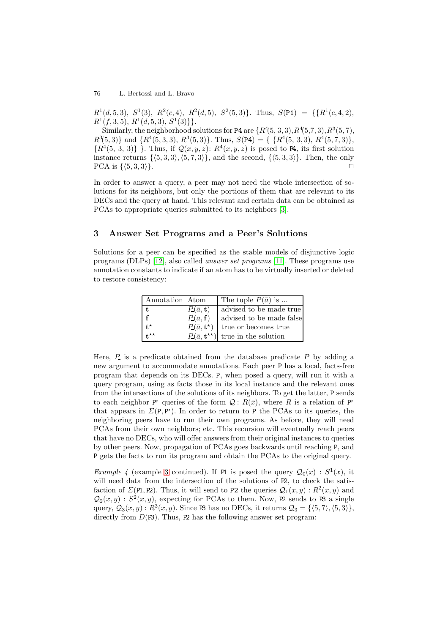$R^1(d, 5, 3), S^1(3), R^2(c, 4), R^2(d, 5), S^2(5, 3)$ . Thus,  $S(\text{P1}) = \{R^1(c, 4, 2),$  $R^1(f, 3, 5), R^1(d, 5, 3), S^1(3)\}.$ 

Similarly, the neighborhood solutions for P4 are  $\{R^4(5,3,3), R^4(5,7,3), R^3(5,7),$  $R^3(5,3)$ } and  $\{R^4(5,3,3), R^3(5,3)\}$ . Thus,  $S(\text{P4}) = \{ \{R^4(5,3,3), R^4(5,7,3)\},$  ${R^4(5, 3, 3)}$ . Thus, if  $\mathcal{Q}(x, y, z)$ :  $R^4(x, y, z)$  is posed to P4, its first solution instance returns  $\{\langle 5, 3, 3 \rangle, \langle 5, 7, 3 \rangle\}$ , and the second,  $\{\langle 5, 3, 3 \rangle\}$ . Then, the only PCA is  $\{\langle 5, 3, 3 \rangle\}$ .

In order to answer a query, a peer may not need the whole intersection of solutions for its neighbors, but only the portions of them that are relevant to its DECs and the query at hand. This relevant and certain data can be obtained as PCAs to appropriate queries submitted to its neighbors [\[3\]](#page-10-1).

## **3 Answer Set Programs and a Peer's Solutions**

Solutions for a peer can be specified as the stable models of disjunctive logic programs (DLPs) [\[12\]](#page-11-0), also called answer set programs [\[11\]](#page-11-2). These programs use annotation constants to indicate if an atom has to be virtually inserted or deleted to restore consistency:

| Annotation Atom |                                       | The tuple $P(\bar{a})$ is |
|-----------------|---------------------------------------|---------------------------|
| t.              | $P(\bar{a}, \mathbf{t})$              | advised to be made true   |
| f               | $P(\bar{a}, f)$                       | advised to be made false  |
| $+^{\star}$     | $P(\bar{a}, \mathbf{t}^{\star})$      | true or becomes true      |
| $+**$           | $P(\bar{a}, \mathbf{t}^{\star\star})$ | true in the solution      |

Here,  $P$  is a predicate obtained from the database predicate  $P$  by adding a new argument to accommodate annotations. Each peer P has a local, facts-free program that depends on its DECs. P, when posed a query, will run it with a query program, using as facts those in its local instance and the relevant ones from the intersections of the solutions of its neighbors. To get the latter, P sends to each neighbor P' queries of the form  $\mathcal{Q}: R(\bar{x})$ , where R is a relation of P' that appears in  $\Sigma(P, P')$ . In order to return to P the PCAs to its queries, the neighboring peers have to run their own programs. As before, they will need PCAs from their own neighbors; etc. This recursion will eventually reach peers that have no DECs, who will offer answers from their original instances to queries by other peers. Now, propagation of PCAs goes backwards until reaching P, and P gets the facts to run its program and obtain the PCAs to the original query.

*Example 4* (example [3](#page-5-0) continued). If P1 is posed the query  $Q_0(x) : S^1(x)$ , it will need data from the intersection of the solutions of P2, to check the satisfaction of  $\Sigma(\mathbf{M}, \mathbf{P})$ . Thus, it will send to P2 the queries  $\mathcal{Q}_1(x, y) : R^2(x, y)$  and  $\mathcal{Q}_2(x, y) : S^2(x, y)$ , expecting for PCAs to them. Now, P2 sends to P3 a single query,  $Q_3(x, y)$ :  $R^3(x, y)$ . Since P3 has no DECs, it returns  $Q_3 = \{ \langle 5, 7 \rangle, \langle 5, 3 \rangle \},\$ directly from  $D(\mathcal{B})$ . Thus,  $\mathcal{P}$  has the following answer set program: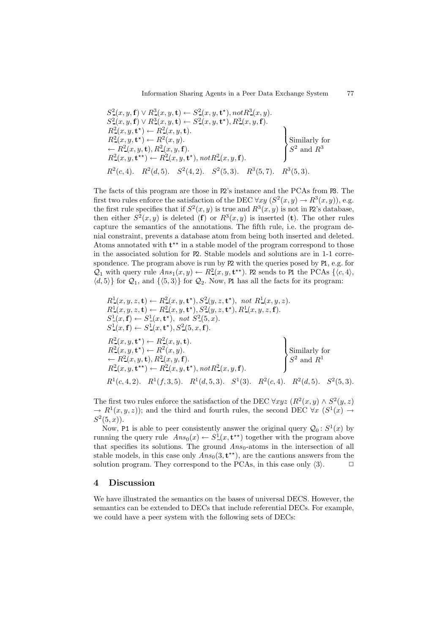$$
S^{2}(x, y, \mathbf{f}) \vee R^{3}(x, y, \mathbf{t}) \leftarrow S^{2}(x, y, \mathbf{t}^{*}), not R^{3}(x, y).
$$
  
\n
$$
S^{2}(x, y, \mathbf{f}) \vee R^{3}(x, y, \mathbf{t}) \leftarrow S^{2}(x, y, \mathbf{t}^{*}), R^{3}(x, y, \mathbf{f}).
$$
  
\n
$$
R^{2}(x, y, \mathbf{t}^{*}) \leftarrow R^{2}(x, y, \mathbf{t}).
$$
  
\n
$$
R^{2}(x, y, \mathbf{t}^{*}) \leftarrow R^{2}(x, y, \mathbf{f}).
$$
  
\n
$$
R^{2}(x, y, \mathbf{t}^{**}) \leftarrow R^{2}(x, y, \mathbf{f}).
$$
  
\n
$$
R^{2}(x, y, \mathbf{t}^{**}) \leftarrow R^{2}(x, y, \mathbf{t}^{*}), not R^{2}(x, y, \mathbf{f}).
$$
  
\n
$$
R^{2}(c, 4). R^{2}(d, 5). S^{2}(4, 2). S^{2}(5, 3). R^{3}(5, 7). R^{3}(5, 3).
$$

The facts of this program are those in P2's instance and the PCAs from P3. The first two rules enforce the satisfaction of the DEC  $\forall xy \ (S^2(x, y) \rightarrow R^3(x, y))$ , e.g. the first rule specifies that if  $S^2(x, y)$  is true and  $R^3(x, y)$  is not in P2's database, then either  $S^2(x, y)$  is deleted (**f**) or  $R^3(x, y)$  is inserted (**t**). The other rules capture the semantics of the annotations. The fifth rule, i.e. the program denial constraint, prevents a database atom from being both inserted and deleted. Atoms annotated with  $t^{**}$  in a stable model of the program correspond to those in the associated solution for P2. Stable models and solutions are in 1-1 correspondence. The program above is run by P2 with the queries posed by P1, e.g. for  $\mathcal{Q}_1$  with query rule  $Ans_1(x, y) \leftarrow R^2(x, y, \mathbf{t}^{**})$ . P2 sends to P1 the PCAs  $\{\langle c, 4 \rangle,$  $\langle d, 5 \rangle$  for  $\mathcal{Q}_1$ , and  $\{ \langle 5, 3 \rangle \}$  for  $\mathcal{Q}_2$ . Now, P1 has all the facts for its program:

$$
R^{1}(x, y, z, t) \leftarrow R^{2}(x, y, t^{*}), S^{2}(y, z, t^{*}), not R^{1}(x, y, z).
$$
  
\n
$$
R^{1}(x, y, z, t) \leftarrow R^{2}(x, y, t^{*}), S^{2}(y, z, t^{*}), R^{1}(x, y, z, f).
$$
  
\n
$$
S^{1}(x, f) \leftarrow S^{1}(x, t^{*}), not S^{2}(5, x).
$$
  
\n
$$
S^{1}(x, f) \leftarrow S^{1}(x, t^{*}), S^{2}(5, x, f).
$$
  
\n
$$
R^{2}(x, y, t^{*}) \leftarrow R^{2}(x, y, t).
$$
  
\n
$$
R^{2}(x, y, t^{*}) \leftarrow R^{2}(x, y).
$$
  
\n
$$
R^{2}(x, y, t^{*}) \leftarrow R^{2}(x, y, f).
$$
  
\n
$$
R^{2}(x, y, t^{**}) \leftarrow R^{2}(x, y, t^{*}), not R^{2}(x, y, f).
$$
  
\n
$$
R^{1}(c, 4, 2).
$$
  $R^{1}(f, 3, 5).$   $R^{1}(d, 5, 3).$   $S^{1}(3).$   $R^{2}(c, 4).$   $R^{2}(d, 5).$   $S^{2}(5, 3).$ 

The first two rules enforce the satisfaction of the DEC  $\forall xyz (R^2(x, y) \wedge S^2(y, z))$  $\rightarrow R^1(x, y, z)$ ; and the third and fourth rules, the second DEC  $\forall x$  ( $S^1(x) \rightarrow$  $S^2(5, x)$ ).

Now, P1 is able to peer consistently answer the original query  $\mathcal{Q}_0$ :  $S^1(x)$  by running the query rule  $Ans_0(x) \leftarrow S^1(x, t^{**})$  together with the program above that specifies its solutions. The ground  $Ans_0$ -atoms in the intersection of all stable models, in this case only  $Ans_0(3, \mathbf{t}^{**})$ , are the cautions answers from the solution program. They correspond to the PCAs, in this case only  $\langle 3 \rangle$ .

### **4 Discussion**

We have illustrated the semantics on the bases of universal DECS. However, the semantics can be extended to DECs that include referential DECs. For example, we could have a peer system with the following sets of DECs: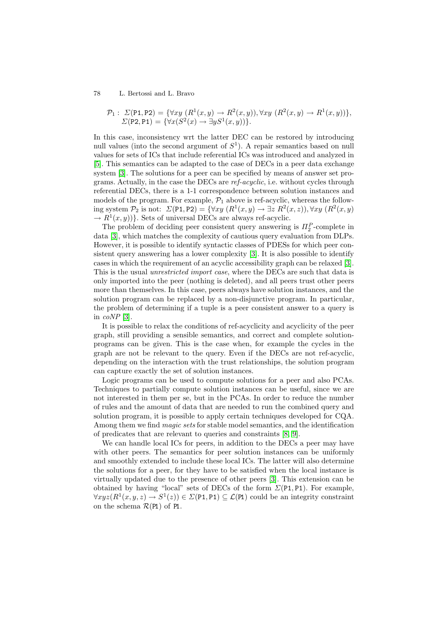$$
\mathcal{P}_1: \Sigma(\text{P1},\text{P2}) = \{ \forall xy \ (R^1(x,y) \to R^2(x,y)), \forall xy \ (R^2(x,y) \to R^1(x,y)) \},
$$
  

$$
\Sigma(\text{P2},\text{P1}) = \{ \forall x (S^2(x) \to \exists y S^1(x,y)) \}.
$$

In this case, inconsistency wrt the latter DEC can be restored by introducing null values (into the second argument of  $S<sup>1</sup>$ ). A repair semantics based on null values for sets of ICs that include referential ICs was introduced and analyzed in [\[5\]](#page-10-4). This semantics can be adapted to the case of DECs in a peer data exchange system [\[3\]](#page-10-1). The solutions for a peer can be specified by means of answer set programs. Actually, in the case the DECs are ref-acyclic, i.e. without cycles through referential DECs, there is a 1-1 correspondence between solution instances and models of the program. For example,  $\mathcal{P}_1$  above is ref-acyclic, whereas the following system  $\mathcal{P}_2$  is not:  $\Sigma(\text{P1},\text{P2}) = \{ \forall xy \ (R^1(x,y) \rightarrow \exists z \ R^2(x,z)), \forall xy \ (R^2(x,y) \}$  $\rightarrow R^1(x, y)$ . Sets of universal DECs are always ref-acyclic.

The problem of deciding peer consistent query answering is  $\Pi_2^P$ -complete in data [\[3\]](#page-10-1), which matches the complexity of cautious query evaluation from DLPs. However, it is possible to identify syntactic classes of PDESs for which peer consistent query answering has a lower complexity [\[3\]](#page-10-1). It is also possible to identify cases in which the requirement of an acyclic accessibility graph can be relaxed [\[3\]](#page-10-1). This is the usual *unrestricted import case*, where the DECs are such that data is only imported into the peer (nothing is deleted), and all peers trust other peers more than themselves. In this case, peers always have solution instances, and the solution program can be replaced by a non-disjunctive program. In particular, the problem of determining if a tuple is a peer consistent answer to a query is in  $coNP$  [\[3\]](#page-10-1).

It is possible to relax the conditions of ref-acyclicity and acyclicity of the peer graph, still providing a sensible semantics, and correct and complete solutionprograms can be given. This is the case when, for example the cycles in the graph are not be relevant to the query. Even if the DECs are not ref-acyclic, depending on the interaction with the trust relationships, the solution program can capture exactly the set of solution instances.

Logic programs can be used to compute solutions for a peer and also PCAs. Techniques to partially compute solution instances can be useful, since we are not interested in them per se, but in the PCAs. In order to reduce the number of rules and the amount of data that are needed to run the combined query and solution program, it is possible to apply certain techniques developed for CQA. Among them we find *magic sets* for stable model semantics, and the identification of predicates that are relevant to queries and constraints [\[8,](#page-11-3) [9\]](#page-11-4).

We can handle local ICs for peers, in addition to the DECs a peer may have with other peers. The semantics for peer solution instances can be uniformly and smoothly extended to include these local ICs. The latter will also determine the solutions for a peer, for they have to be satisfied when the local instance is virtually updated due to the presence of other peers [\[3\]](#page-10-1). This extension can be obtained by having "local" sets of DECs of the form  $\Sigma$ (P1, P1). For example,  $\forall xyz(R^{1}(x,y,z) \rightarrow S^{1}(z)) \in \Sigma(\text{P1},\text{P1}) \subseteq \mathcal{L}(\text{P1})$  could be an integrity constraint on the schema  $\mathcal{R}(\mathbb{M})$  of  $\mathbb{M}$ .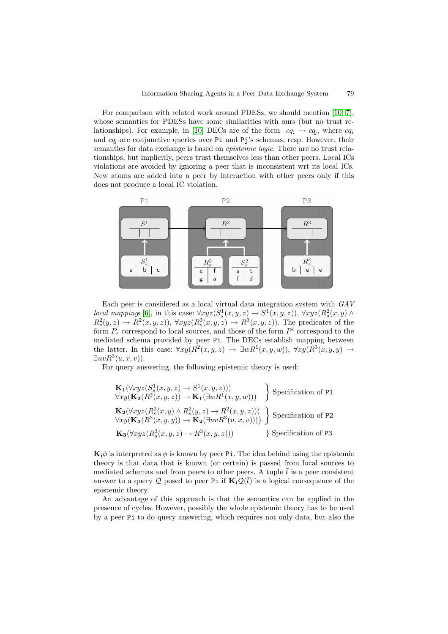For comparison with related work around PDESs, we should mention [\[10,](#page-11-5) [7\]](#page-10-5), whose semantics for PDESs have some similarities with ours (but no trust re-lationships). For example, in [\[10\]](#page-11-5) DECs are of the form  $cq_i \rightarrow cq_j$ , where  $cq_i$ and  $cq<sub>j</sub>$  are conjunctive queries over Pi and Pj's schemas, resp. However, their semantics for data exchange is based on *epistemic logic*. There are no trust relationships, but implicitly, peers trust themselves less than other peers. Local ICs violations are avoided by ignoring a peer that is inconsistent wrt its local ICs. New atoms are added into a peer by interaction with other peers only if this does not produce a local IC violation.



Each peer is considered as a local virtual data integration system with GAV local mappings [\[6\]](#page-10-6), in this case:  $\forall xyz(S_s^1(x, y, z) \rightarrow S^1(x, y, z))$ ,  $\forall xyz(R_s^2(x, y) \land$  $R_s^2(y, z) \to R^2(x, y, z)$ ,  $\forall xyz(R_s^3(x, y, z) \to R^3(x, y, z)$ . The predicates of the form  $P_s$  correspond to local sources, and those of the form  $P^i$  correspond to the mediated schema provided by peer Pi. The DECs establish mapping between the latter. In this case:  $\forall xy (R^2(x, y, z) \rightarrow \exists w R^1(x, y, w))$ ,  $\forall xy (R^3(x, y, y) \rightarrow$  $\exists uv R^3(u, x, v)$ .

For query answering, the following epistemic theory is used:

$$
\begin{array}{l} \mathbf{K_1}(\forall xyz(S^1_s(x,y,z) \to S^1(x,y,z))) \\ \forall xy(\mathbf{K_2}(R^2(x,y,z)) \to \mathbf{K_1}(\exists wR^1(x,y,w))) \\ \mathbf{K_2}(\forall xyz(R^2_s(x,y) \land R^2_s(y,z) \to R^2(x,y,z))) \\ \forall xy(\mathbf{K_3}(R^3(x,y,y)) \to \mathbf{K_2}(\exists uvR^3(u,x,v)))) \\ \mathbf{K_3}(\forall xyz(R^3_s(x,y,z) \to R^3(x,y,z))) \end{array} \bigg\} \text{Specification of P2}
$$

 $\mathbf{K}_i \phi$  is interpreted as  $\phi$  is known by peer Pi. The idea behind using the epistemic theory is that data that is known (or certain) is passed from local sources to mediated schemas and from peers to other peers. A tuple  $\bar{t}$  is a peer consistent answer to a query Q posed to peer Pi if  $\mathbf{K_i}Q(\bar{t})$  is a logical consequence of the epistemic theory.

An advantage of this approach is that the semantics can be applied in the presence of cycles. However, possibly the whole epistemic theory has to be used by a peer Pi to do query answering, which requires not only data, but also the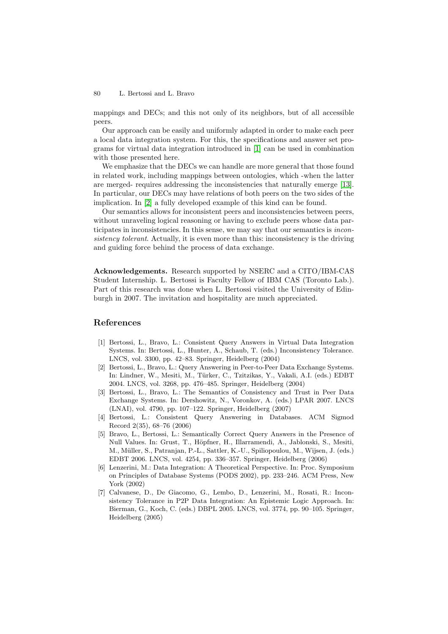mappings and DECs; and this not only of its neighbors, but of all accessible peers.

Our approach can be easily and uniformly adapted in order to make each peer a local data integration system. For this, the specifications and answer set programs for virtual data integration introduced in [\[1\]](#page-10-7) can be used in combination with those presented here.

We emphasize that the DECs we can handle are more general that those found in related work, including mappings between ontologies, which -when the latter are merged- requires addressing the inconsistencies that naturally emerge [\[13\]](#page-11-1). In particular, our DECs may have relations of both peers on the two sides of the implication. In [\[2\]](#page-10-3) a fully developed example of this kind can be found.

Our semantics allows for inconsistent peers and inconsistencies between peers, without unraveling logical reasoning or having to exclude peers whose data participates in inconsistencies. In this sense, we may say that our semantics is inconsistency tolerant. Actually, it is even more than this: inconsistency is the driving and guiding force behind the process of data exchange.

**Acknowledgements.** Research supported by NSERC and a CITO/IBM-CAS Student Internship. L. Bertossi is Faculty Fellow of IBM CAS (Toronto Lab.). Part of this research was done when L. Bertossi visited the University of Edinburgh in 2007. The invitation and hospitality are much appreciated.

### <span id="page-10-7"></span><span id="page-10-0"></span>**References**

- [1] Bertossi, L., Bravo, L.: Consistent Query Answers in Virtual Data Integration Systems. In: Bertossi, L., Hunter, A., Schaub, T. (eds.) Inconsistency Tolerance. LNCS, vol. 3300, pp. 42–83. Springer, Heidelberg (2004)
- <span id="page-10-3"></span>[2] Bertossi, L., Bravo, L.: Query Answering in Peer-to-Peer Data Exchange Systems. In: Lindner, W., Mesiti, M., Türker, C., Tzitzikas, Y., Vakali, A.I. (eds.) EDBT 2004. LNCS, vol. 3268, pp. 476–485. Springer, Heidelberg (2004)
- <span id="page-10-1"></span>[3] Bertossi, L., Bravo, L.: The Semantics of Consistency and Trust in Peer Data Exchange Systems. In: Dershowitz, N., Voronkov, A. (eds.) LPAR 2007. LNCS (LNAI), vol. 4790, pp. 107–122. Springer, Heidelberg (2007)
- <span id="page-10-2"></span>[4] Bertossi, L.: Consistent Query Answering in Databases. ACM Sigmod Record 2(35), 68–76 (2006)
- <span id="page-10-4"></span>[5] Bravo, L., Bertossi, L.: Semantically Correct Query Answers in the Presence of Null Values. In: Grust, T., Höpfner, H., Illarramendi, A., Jablonski, S., Mesiti, M., Müller, S., Patranjan, P.-L., Sattler, K.-U., Spiliopoulou, M., Wijsen, J. (eds.) EDBT 2006. LNCS, vol. 4254, pp. 336–357. Springer, Heidelberg (2006)
- <span id="page-10-6"></span>[6] Lenzerini, M.: Data Integration: A Theoretical Perspective. In: Proc. Symposium on Principles of Database Systems (PODS 2002), pp. 233–246. ACM Press, New York (2002)
- <span id="page-10-5"></span>[7] Calvanese, D., De Giacomo, G., Lembo, D., Lenzerini, M., Rosati, R.: Inconsistency Tolerance in P2P Data Integration: An Epistemic Logic Approach. In: Bierman, G., Koch, C. (eds.) DBPL 2005. LNCS, vol. 3774, pp. 90–105. Springer, Heidelberg (2005)